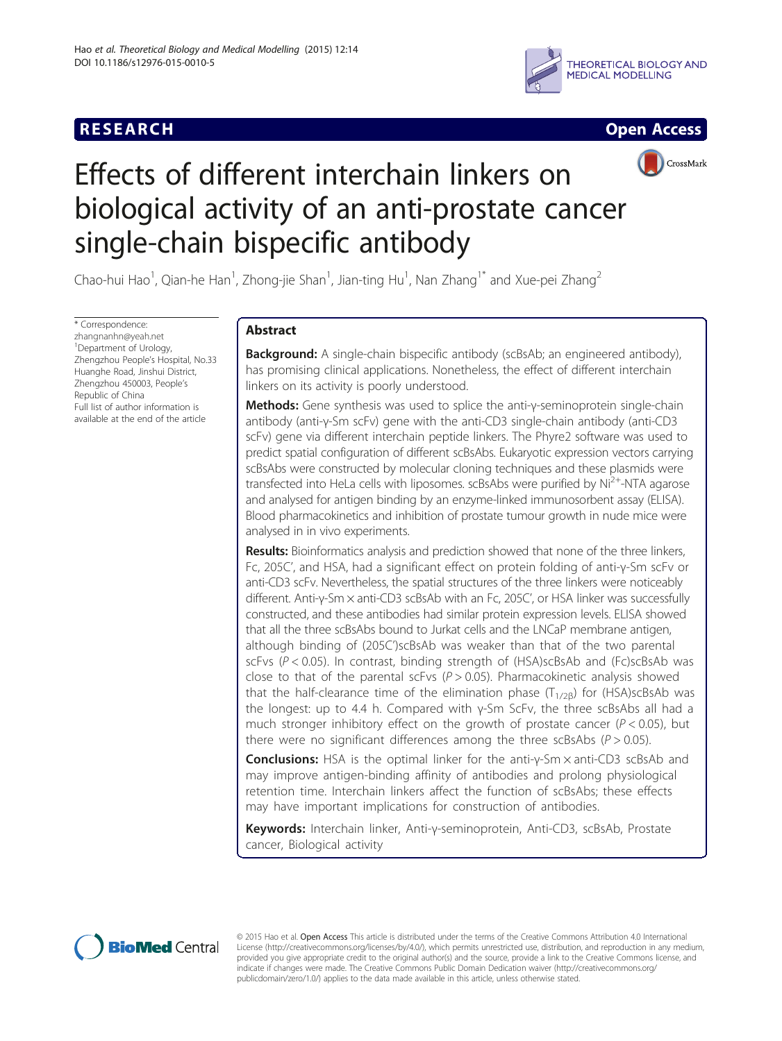



CrossMark

# Effects of different interchain linkers on biological activity of an anti-prostate cancer single-chain bispecific antibody

Chao-hui Hao<sup>1</sup>, Qian-he Han<sup>1</sup>, Zhong-jie Shan<sup>1</sup>, Jian-ting Hu<sup>1</sup>, Nan Zhang<sup>1\*</sup> and Xue-pei Zhang<sup>2</sup>

\* Correspondence: [zhangnanhn@yeah.net](mailto:zhangnanhn@yeah.net) <sup>1</sup>Department of Urology, Zhengzhou People's Hospital, No.33 Huanghe Road, Jinshui District, Zhengzhou 450003, People's Republic of China Full list of author information is available at the end of the article

# Abstract

Background: A single-chain bispecific antibody (scBsAb; an engineered antibody), has promising clinical applications. Nonetheless, the effect of different interchain linkers on its activity is poorly understood.

Methods: Gene synthesis was used to splice the anti-γ-seminoprotein single-chain antibody (anti-γ-Sm scFv) gene with the anti-CD3 single-chain antibody (anti-CD3 scFv) gene via different interchain peptide linkers. The Phyre2 software was used to predict spatial configuration of different scBsAbs. Eukaryotic expression vectors carrying scBsAbs were constructed by molecular cloning techniques and these plasmids were transfected into HeLa cells with liposomes. scBsAbs were purified by  $Ni<sup>2+</sup>-NTA$  agarose and analysed for antigen binding by an enzyme-linked immunosorbent assay (ELISA). Blood pharmacokinetics and inhibition of prostate tumour growth in nude mice were analysed in in vivo experiments.

Results: Bioinformatics analysis and prediction showed that none of the three linkers, Fc, 205C', and HSA, had a significant effect on protein folding of anti-γ-Sm scFv or anti-CD3 scFv. Nevertheless, the spatial structures of the three linkers were noticeably different. Anti-γ-Sm × anti-CD3 scBsAb with an Fc, 205C', or HSA linker was successfully constructed, and these antibodies had similar protein expression levels. ELISA showed that all the three scBsAbs bound to Jurkat cells and the LNCaP membrane antigen, although binding of (205C')scBsAb was weaker than that of the two parental scFvs ( $P < 0.05$ ). In contrast, binding strength of (HSA)scBsAb and (Fc)scBsAb was close to that of the parental scFvs ( $P > 0.05$ ). Pharmacokinetic analysis showed that the half-clearance time of the elimination phase ( $T<sub>1/2B</sub>$ ) for (HSA)scBsAb was the longest: up to 4.4 h. Compared with γ-Sm ScFv, the three scBsAbs all had a much stronger inhibitory effect on the growth of prostate cancer ( $P < 0.05$ ), but there were no significant differences among the three scBsAbs ( $P > 0.05$ ).

Conclusions: HSA is the optimal linker for the anti-γ-Sm × anti-CD3 scBsAb and may improve antigen-binding affinity of antibodies and prolong physiological retention time. Interchain linkers affect the function of scBsAbs; these effects may have important implications for construction of antibodies.

Keywords: Interchain linker, Anti-γ-seminoprotein, Anti-CD3, scBsAb, Prostate cancer, Biological activity



© 2015 Hao et al. Open Access This article is distributed under the terms of the Creative Commons Attribution 4.0 International License ([http://creativecommons.org/licenses/by/4.0/\)](http://creativecommons.org/licenses/by/4.0/), which permits unrestricted use, distribution, and reproduction in any medium, provided you give appropriate credit to the original author(s) and the source, provide a link to the Creative Commons license, and indicate if changes were made. The Creative Commons Public Domain Dedication waiver ([http://creativecommons.org/](http://creativecommons.org/publicdomain/zero/1.0/) [publicdomain/zero/1.0/\)](http://creativecommons.org/publicdomain/zero/1.0/) applies to the data made available in this article, unless otherwise stated.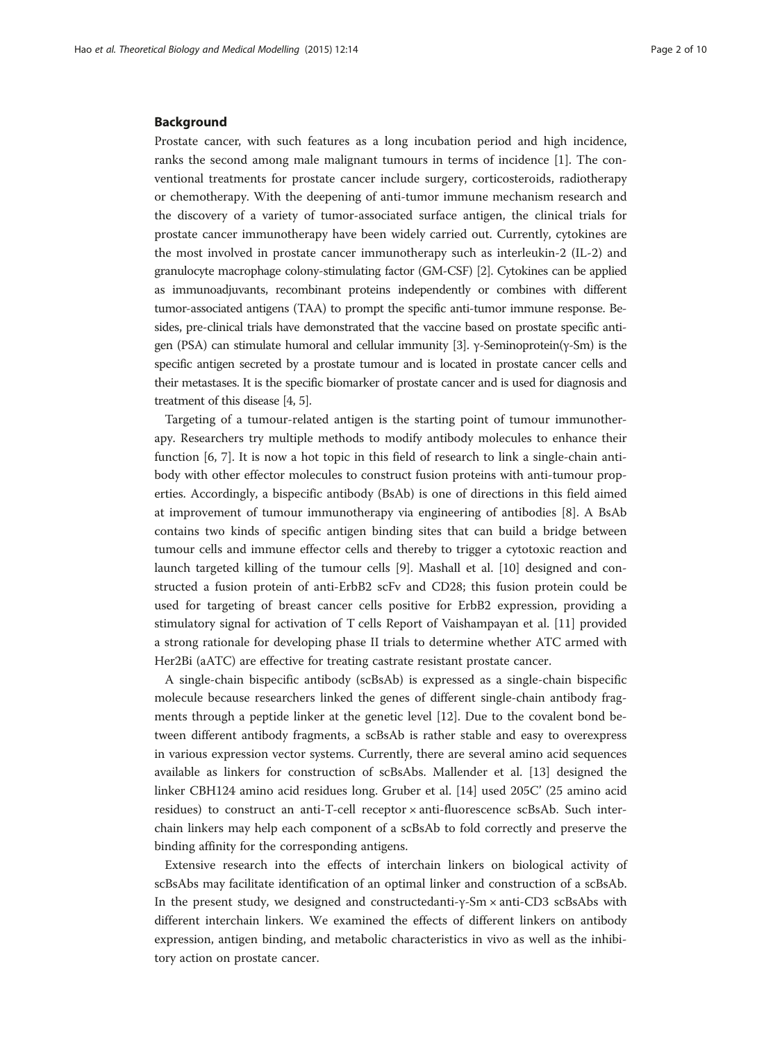#### Background

Prostate cancer, with such features as a long incubation period and high incidence, ranks the second among male malignant tumours in terms of incidence [\[1](#page-8-0)]. The conventional treatments for prostate cancer include surgery, corticosteroids, radiotherapy or chemotherapy. With the deepening of anti-tumor immune mechanism research and the discovery of a variety of tumor-associated surface antigen, the clinical trials for prostate cancer immunotherapy have been widely carried out. Currently, cytokines are the most involved in prostate cancer immunotherapy such as interleukin-2 (IL-2) and granulocyte macrophage colony-stimulating factor (GM-CSF) [\[2\]](#page-9-0). Cytokines can be applied as immunoadjuvants, recombinant proteins independently or combines with different tumor-associated antigens (TAA) to prompt the specific anti-tumor immune response. Besides, pre-clinical trials have demonstrated that the vaccine based on prostate specific antigen (PSA) can stimulate humoral and cellular immunity [[3\]](#page-9-0). γ-Seminoprotein(γ-Sm) is the specific antigen secreted by a prostate tumour and is located in prostate cancer cells and their metastases. It is the specific biomarker of prostate cancer and is used for diagnosis and treatment of this disease [\[4](#page-9-0), [5](#page-9-0)].

Targeting of a tumour-related antigen is the starting point of tumour immunotherapy. Researchers try multiple methods to modify antibody molecules to enhance their function [\[6](#page-9-0), [7](#page-9-0)]. It is now a hot topic in this field of research to link a single-chain antibody with other effector molecules to construct fusion proteins with anti-tumour properties. Accordingly, a bispecific antibody (BsAb) is one of directions in this field aimed at improvement of tumour immunotherapy via engineering of antibodies [\[8\]](#page-9-0). A BsAb contains two kinds of specific antigen binding sites that can build a bridge between tumour cells and immune effector cells and thereby to trigger a cytotoxic reaction and launch targeted killing of the tumour cells [[9](#page-9-0)]. Mashall et al. [\[10](#page-9-0)] designed and constructed a fusion protein of anti-ErbB2 scFv and CD28; this fusion protein could be used for targeting of breast cancer cells positive for ErbB2 expression, providing a stimulatory signal for activation of T cells Report of Vaishampayan et al. [\[11](#page-9-0)] provided a strong rationale for developing phase II trials to determine whether ATC armed with Her2Bi (aATC) are effective for treating castrate resistant prostate cancer.

A single-chain bispecific antibody (scBsAb) is expressed as a single-chain bispecific molecule because researchers linked the genes of different single-chain antibody fragments through a peptide linker at the genetic level [[12\]](#page-9-0). Due to the covalent bond between different antibody fragments, a scBsAb is rather stable and easy to overexpress in various expression vector systems. Currently, there are several amino acid sequences available as linkers for construction of scBsAbs. Mallender et al. [\[13\]](#page-9-0) designed the linker CBH124 amino acid residues long. Gruber et al. [[14](#page-9-0)] used 205C' (25 amino acid residues) to construct an anti-T-cell receptor × anti-fluorescence scBsAb. Such interchain linkers may help each component of a scBsAb to fold correctly and preserve the binding affinity for the corresponding antigens.

Extensive research into the effects of interchain linkers on biological activity of scBsAbs may facilitate identification of an optimal linker and construction of a scBsAb. In the present study, we designed and constructedanti-γ-Sm × anti-CD3 scBsAbs with different interchain linkers. We examined the effects of different linkers on antibody expression, antigen binding, and metabolic characteristics in vivo as well as the inhibitory action on prostate cancer.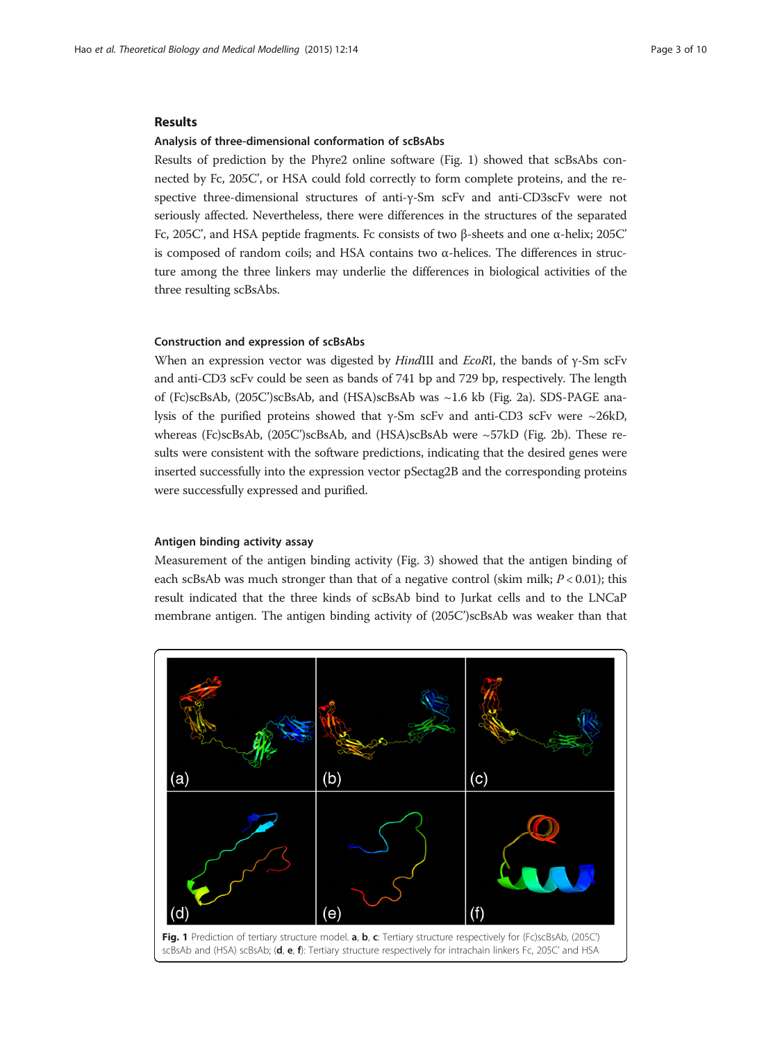#### Results

#### Analysis of three-dimensional conformation of scBsAbs

Results of prediction by the Phyre2 online software (Fig. 1) showed that scBsAbs connected by Fc, 205C', or HSA could fold correctly to form complete proteins, and the respective three-dimensional structures of anti-γ-Sm scFv and anti-CD3scFv were not seriously affected. Nevertheless, there were differences in the structures of the separated Fc, 205C', and HSA peptide fragments. Fc consists of two β-sheets and one α-helix; 205C' is composed of random coils; and HSA contains two  $α$ -helices. The differences in structure among the three linkers may underlie the differences in biological activities of the three resulting scBsAbs.

#### Construction and expression of scBsAbs

When an expression vector was digested by HindIII and EcoRI, the bands of γ-Sm scFv and anti-CD3 scFv could be seen as bands of 741 bp and 729 bp, respectively. The length of (Fc)scBsAb, (205C')scBsAb, and (HSA)scBsAb was ~1.6 kb (Fig. [2a\)](#page-3-0). SDS-PAGE analysis of the purified proteins showed that γ-Sm scFv and anti-CD3 scFv were ~26kD, whereas (Fc)scBsAb, (205C')scBsAb, and (HSA)scBsAb were ~57kD (Fig. [2b\)](#page-3-0). These results were consistent with the software predictions, indicating that the desired genes were inserted successfully into the expression vector pSectag2B and the corresponding proteins were successfully expressed and purified.

#### Antigen binding activity assay

Measurement of the antigen binding activity (Fig. [3\)](#page-3-0) showed that the antigen binding of each scBsAb was much stronger than that of a negative control (skim milk;  $P < 0.01$ ); this result indicated that the three kinds of scBsAb bind to Jurkat cells and to the LNCaP membrane antigen. The antigen binding activity of (205C')scBsAb was weaker than that

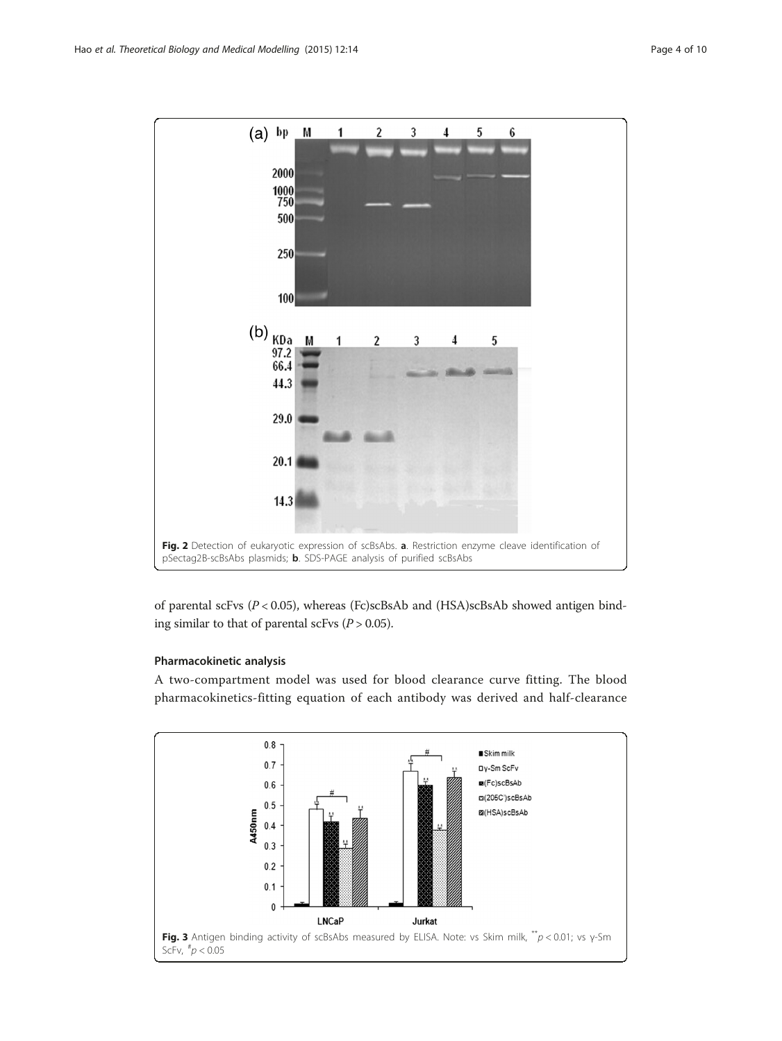<span id="page-3-0"></span>

of parental scFvs (P < 0.05), whereas (Fc)scBsAb and (HSA)scBsAb showed antigen binding similar to that of parental scFvs  $(P > 0.05)$ .

# Pharmacokinetic analysis

A two-compartment model was used for blood clearance curve fitting. The blood pharmacokinetics-fitting equation of each antibody was derived and half-clearance

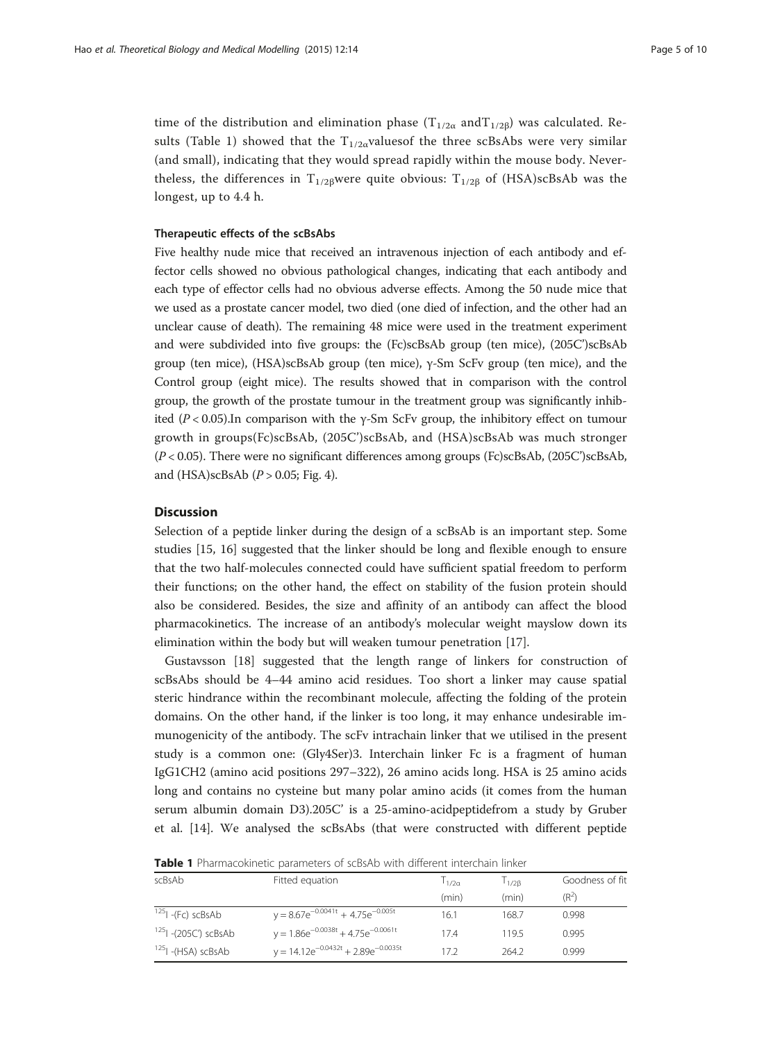time of the distribution and elimination phase ( $T_{1/2\alpha}$  and $T_{1/2\beta}$ ) was calculated. Results (Table 1) showed that the  $T_{1/2\alpha}$  values f the three scBsAbs were very similar (and small), indicating that they would spread rapidly within the mouse body. Nevertheless, the differences in T<sub>1/2β</sub>were quite obvious: T<sub>1/2β</sub> of (HSA)scBsAb was the longest, up to 4.4 h.

# Therapeutic effects of the scBsAbs

Five healthy nude mice that received an intravenous injection of each antibody and effector cells showed no obvious pathological changes, indicating that each antibody and each type of effector cells had no obvious adverse effects. Among the 50 nude mice that we used as a prostate cancer model, two died (one died of infection, and the other had an unclear cause of death). The remaining 48 mice were used in the treatment experiment and were subdivided into five groups: the (Fc)scBsAb group (ten mice), (205C')scBsAb group (ten mice), (HSA)scBsAb group (ten mice), γ-Sm ScFv group (ten mice), and the Control group (eight mice). The results showed that in comparison with the control group, the growth of the prostate tumour in the treatment group was significantly inhibited ( $P < 0.05$ ).In comparison with the  $\gamma$ -Sm ScFv group, the inhibitory effect on tumour growth in groups(Fc)scBsAb, (205C')scBsAb, and (HSA)scBsAb was much stronger (P < 0.05). There were no significant differences among groups (Fc)scBsAb, (205C')scBsAb, and (HSA)scBsAb  $(P > 0.05; Fig. 4)$  $(P > 0.05; Fig. 4)$  $(P > 0.05; Fig. 4)$ .

#### **Discussion**

Selection of a peptide linker during the design of a scBsAb is an important step. Some studies [\[15](#page-9-0), [16\]](#page-9-0) suggested that the linker should be long and flexible enough to ensure that the two half-molecules connected could have sufficient spatial freedom to perform their functions; on the other hand, the effect on stability of the fusion protein should also be considered. Besides, the size and affinity of an antibody can affect the blood pharmacokinetics. The increase of an antibody's molecular weight mayslow down its elimination within the body but will weaken tumour penetration [\[17](#page-9-0)].

Gustavsson [\[18](#page-9-0)] suggested that the length range of linkers for construction of scBsAbs should be 4–44 amino acid residues. Too short a linker may cause spatial steric hindrance within the recombinant molecule, affecting the folding of the protein domains. On the other hand, if the linker is too long, it may enhance undesirable immunogenicity of the antibody. The scFv intrachain linker that we utilised in the present study is a common one: (Gly4Ser)3. Interchain linker Fc is a fragment of human IgG1CH2 (amino acid positions 297–322), 26 amino acids long. HSA is 25 amino acids long and contains no cysteine but many polar amino acids (it comes from the human serum albumin domain D3).205C' is a 25-amino-acidpeptidefrom a study by Gruber et al. [[14](#page-9-0)]. We analysed the scBsAbs (that were constructed with different peptide

|  |  | <b>Table 1</b> Pharmacokinetic parameters of scBsAb with different interchain linker |
|--|--|--------------------------------------------------------------------------------------|
|--|--|--------------------------------------------------------------------------------------|

| scBsAb                          | Fitted equation                            | 1/2a  | 1/28  | Goodness of fit   |
|---------------------------------|--------------------------------------------|-------|-------|-------------------|
|                                 |                                            | (min) | (min) | (R <sup>2</sup> ) |
| $ ^{125} $ -(Fc) scBsAb         | $y = 8.67e^{-0.0041t} + 4.75e^{-0.005t}$   | 16.1  | 168.7 | 0.998             |
| <sup>125</sup> L-(205C') scBsAb | $y = 1.86e^{-0.0038t} + 4.75e^{-0.0061t}$  | 17.4  | 1195  | 0.995             |
| <sup>125</sup> I - (HSA) scBsAb | $y = 14.12e^{-0.0432t} + 2.89e^{-0.0035t}$ | 172   | 264.2 | 0.999             |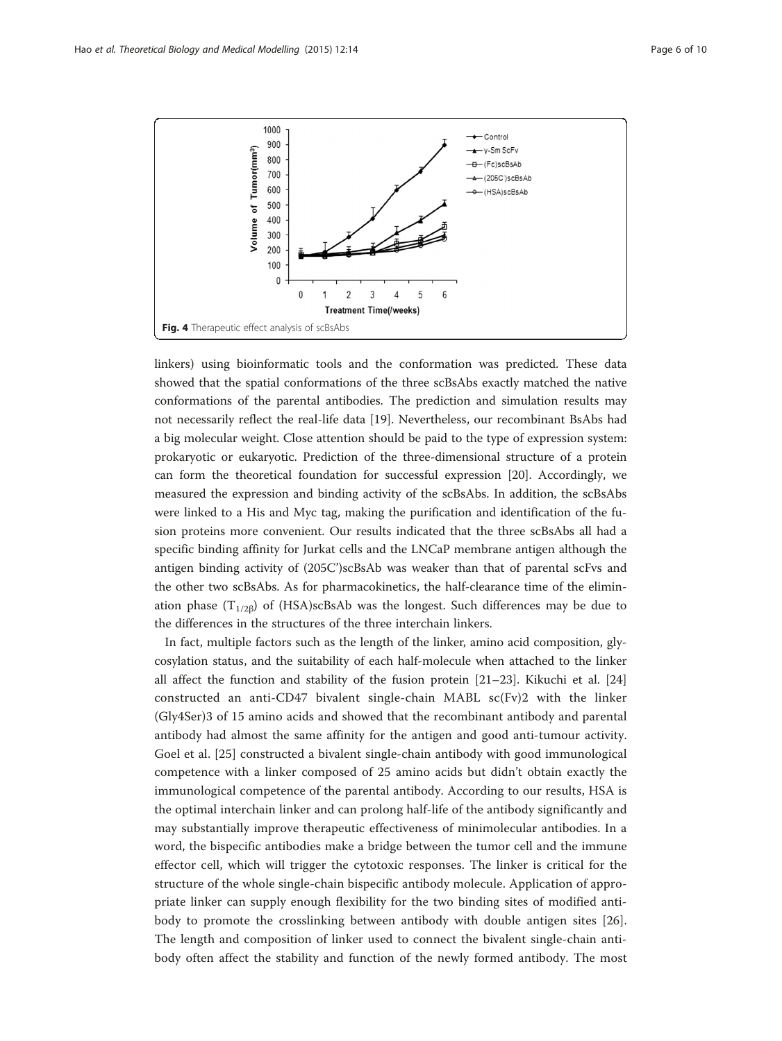<span id="page-5-0"></span>

linkers) using bioinformatic tools and the conformation was predicted. These data showed that the spatial conformations of the three scBsAbs exactly matched the native conformations of the parental antibodies. The prediction and simulation results may not necessarily reflect the real-life data [\[19\]](#page-9-0). Nevertheless, our recombinant BsAbs had a big molecular weight. Close attention should be paid to the type of expression system: prokaryotic or eukaryotic. Prediction of the three-dimensional structure of a protein can form the theoretical foundation for successful expression [\[20\]](#page-9-0). Accordingly, we measured the expression and binding activity of the scBsAbs. In addition, the scBsAbs were linked to a His and Myc tag, making the purification and identification of the fusion proteins more convenient. Our results indicated that the three scBsAbs all had a specific binding affinity for Jurkat cells and the LNCaP membrane antigen although the antigen binding activity of (205C')scBsAb was weaker than that of parental scFvs and the other two scBsAbs. As for pharmacokinetics, the half-clearance time of the elimination phase  $(T_{1/2\beta})$  of (HSA)scBsAb was the longest. Such differences may be due to the differences in the structures of the three interchain linkers.

In fact, multiple factors such as the length of the linker, amino acid composition, glycosylation status, and the suitability of each half-molecule when attached to the linker all affect the function and stability of the fusion protein  $[21-23]$  $[21-23]$  $[21-23]$ . Kikuchi et al.  $[24]$  $[24]$  $[24]$ constructed an anti-CD47 bivalent single-chain MABL sc(Fv)2 with the linker (Gly4Ser)3 of 15 amino acids and showed that the recombinant antibody and parental antibody had almost the same affinity for the antigen and good anti-tumour activity. Goel et al. [[25\]](#page-9-0) constructed a bivalent single-chain antibody with good immunological competence with a linker composed of 25 amino acids but didn't obtain exactly the immunological competence of the parental antibody. According to our results, HSA is the optimal interchain linker and can prolong half-life of the antibody significantly and may substantially improve therapeutic effectiveness of minimolecular antibodies. In a word, the bispecific antibodies make a bridge between the tumor cell and the immune effector cell, which will trigger the cytotoxic responses. The linker is critical for the structure of the whole single-chain bispecific antibody molecule. Application of appropriate linker can supply enough flexibility for the two binding sites of modified antibody to promote the crosslinking between antibody with double antigen sites [\[26](#page-9-0)]. The length and composition of linker used to connect the bivalent single-chain antibody often affect the stability and function of the newly formed antibody. The most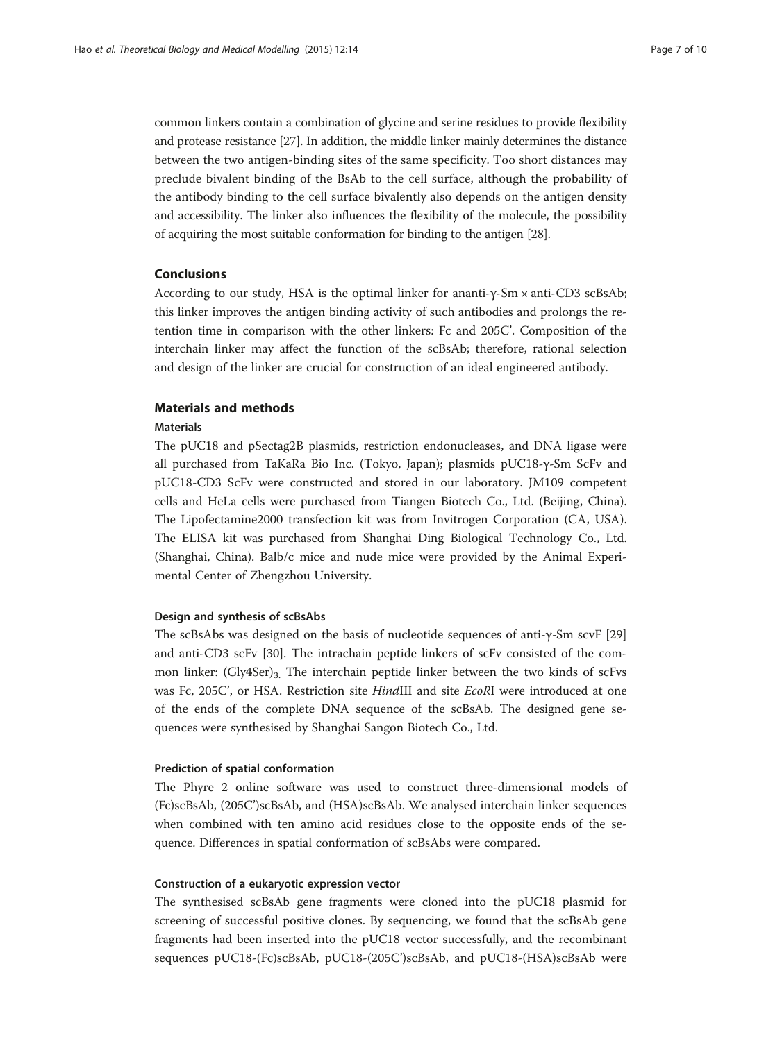common linkers contain a combination of glycine and serine residues to provide flexibility and protease resistance [\[27\]](#page-9-0). In addition, the middle linker mainly determines the distance between the two antigen-binding sites of the same specificity. Too short distances may preclude bivalent binding of the BsAb to the cell surface, although the probability of the antibody binding to the cell surface bivalently also depends on the antigen density and accessibility. The linker also influences the flexibility of the molecule, the possibility of acquiring the most suitable conformation for binding to the antigen [[28](#page-9-0)].

#### Conclusions

According to our study, HSA is the optimal linker for ananti-γ-Sm × anti-CD3 scBsAb; this linker improves the antigen binding activity of such antibodies and prolongs the retention time in comparison with the other linkers: Fc and 205C'. Composition of the interchain linker may affect the function of the scBsAb; therefore, rational selection and design of the linker are crucial for construction of an ideal engineered antibody.

#### Materials and methods

# Materials

The pUC18 and pSectag2B plasmids, restriction endonucleases, and DNA ligase were all purchased from TaKaRa Bio Inc. (Tokyo, Japan); plasmids pUC18-γ-Sm ScFv and pUC18-CD3 ScFv were constructed and stored in our laboratory. JM109 competent cells and HeLa cells were purchased from Tiangen Biotech Co., Ltd. (Beijing, China). The Lipofectamine2000 transfection kit was from Invitrogen Corporation (CA, USA). The ELISA kit was purchased from Shanghai Ding Biological Technology Co., Ltd. (Shanghai, China). Balb/c mice and nude mice were provided by the Animal Experimental Center of Zhengzhou University.

#### Design and synthesis of scBsAbs

The scBsAbs was designed on the basis of nucleotide sequences of anti-γ-Sm scvF [[29](#page-9-0)] and anti-CD3 scFv [\[30\]](#page-9-0). The intrachain peptide linkers of scFv consisted of the common linker:  $(Gly4Ser)_{3}$ . The interchain peptide linker between the two kinds of scFvs was Fc, 205C', or HSA. Restriction site HindIII and site EcoRI were introduced at one of the ends of the complete DNA sequence of the scBsAb. The designed gene sequences were synthesised by Shanghai Sangon Biotech Co., Ltd.

#### Prediction of spatial conformation

The Phyre 2 online software was used to construct three-dimensional models of (Fc)scBsAb, (205C')scBsAb, and (HSA)scBsAb. We analysed interchain linker sequences when combined with ten amino acid residues close to the opposite ends of the sequence. Differences in spatial conformation of scBsAbs were compared.

# Construction of a eukaryotic expression vector

The synthesised scBsAb gene fragments were cloned into the pUC18 plasmid for screening of successful positive clones. By sequencing, we found that the scBsAb gene fragments had been inserted into the pUC18 vector successfully, and the recombinant sequences pUC18-(Fc)scBsAb, pUC18-(205C')scBsAb, and pUC18-(HSA)scBsAb were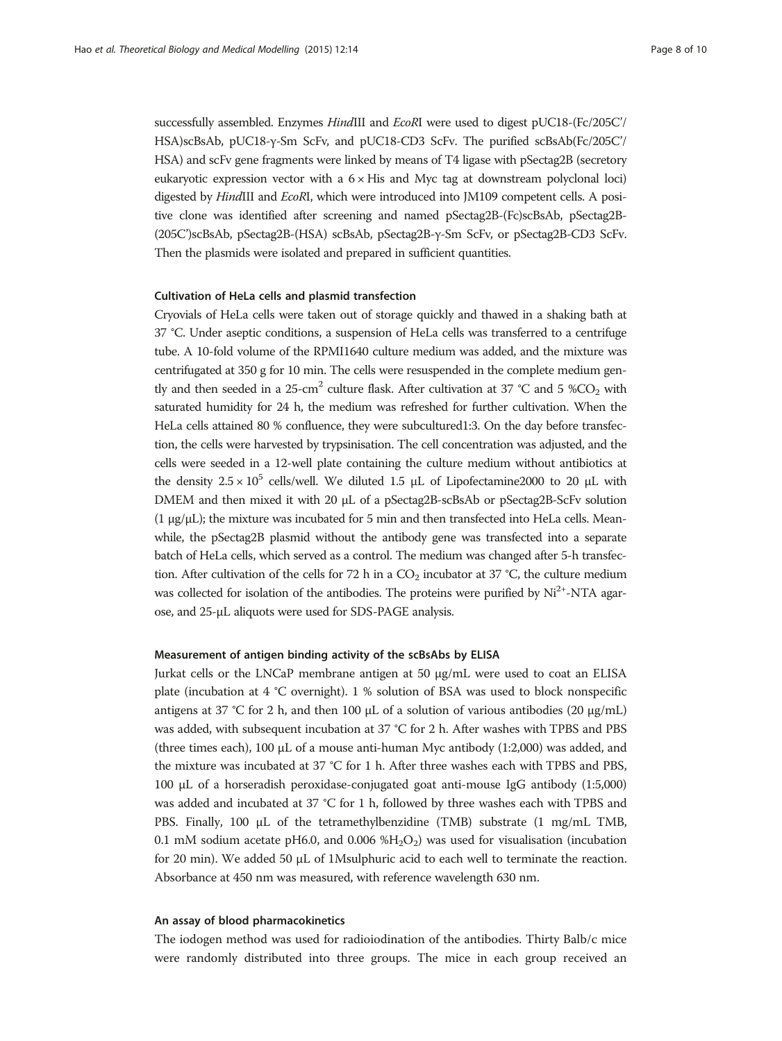successfully assembled. Enzymes HindIII and EcoRI were used to digest pUC18-(Fc/205C'/ HSA)scBsAb, pUC18-γ-Sm ScFv, and pUC18-CD3 ScFv. The purified scBsAb(Fc/205C'/ HSA) and scFv gene fragments were linked by means of T4 ligase with pSectag2B (secretory eukaryotic expression vector with a  $6 \times$  His and Myc tag at downstream polyclonal loci) digested by *HindIII* and *EcoRI*, which were introduced into JM109 competent cells. A positive clone was identified after screening and named pSectag2B-(Fc)scBsAb, pSectag2B- (205C')scBsAb, pSectag2B-(HSA) scBsAb, pSectag2B-γ-Sm ScFv, or pSectag2B-CD3 ScFv. Then the plasmids were isolated and prepared in sufficient quantities.

#### Cultivation of HeLa cells and plasmid transfection

Cryovials of HeLa cells were taken out of storage quickly and thawed in a shaking bath at 37 °C. Under aseptic conditions, a suspension of HeLa cells was transferred to a centrifuge tube. A 10-fold volume of the RPMI1640 culture medium was added, and the mixture was centrifugated at 350 g for 10 min. The cells were resuspended in the complete medium gently and then seeded in a 25-cm<sup>2</sup> culture flask. After cultivation at 37 °C and 5 %CO<sub>2</sub> with saturated humidity for 24 h, the medium was refreshed for further cultivation. When the HeLa cells attained 80 % confluence, they were subcultured1:3. On the day before transfection, the cells were harvested by trypsinisation. The cell concentration was adjusted, and the cells were seeded in a 12-well plate containing the culture medium without antibiotics at the density  $2.5 \times 10^5$  cells/well. We diluted 1.5 μL of Lipofectamine2000 to 20 μL with DMEM and then mixed it with 20 μL of a pSectag2B-scBsAb or pSectag2B-ScFv solution (1 μg/μL); the mixture was incubated for 5 min and then transfected into HeLa cells. Meanwhile, the pSectag2B plasmid without the antibody gene was transfected into a separate batch of HeLa cells, which served as a control. The medium was changed after 5-h transfection. After cultivation of the cells for 72 h in a  $CO<sub>2</sub>$  incubator at 37 °C, the culture medium was collected for isolation of the antibodies. The proteins were purified by Ni<sup>2+</sup>-NTA agarose, and 25-μL aliquots were used for SDS-PAGE analysis.

# Measurement of antigen binding activity of the scBsAbs by ELISA

Jurkat cells or the LNCaP membrane antigen at 50 μg/mL were used to coat an ELISA plate (incubation at 4 °C overnight). 1 % solution of BSA was used to block nonspecific antigens at 37 °C for 2 h, and then 100 μL of a solution of various antibodies (20 μg/mL) was added, with subsequent incubation at 37 °C for 2 h. After washes with TPBS and PBS (three times each), 100 μL of a mouse anti-human Myc antibody (1:2,000) was added, and the mixture was incubated at 37 °C for 1 h. After three washes each with TPBS and PBS, 100 μL of a horseradish peroxidase-conjugated goat anti-mouse IgG antibody (1:5,000) was added and incubated at 37 °C for 1 h, followed by three washes each with TPBS and PBS. Finally, 100 μL of the tetramethylbenzidine (TMB) substrate (1 mg/mL TMB, 0.1 mM sodium acetate pH6.0, and 0.006 % $H<sub>2</sub>O<sub>2</sub>$ ) was used for visualisation (incubation for 20 min). We added 50 μL of 1Msulphuric acid to each well to terminate the reaction. Absorbance at 450 nm was measured, with reference wavelength 630 nm.

#### An assay of blood pharmacokinetics

The iodogen method was used for radioiodination of the antibodies. Thirty Balb/c mice were randomly distributed into three groups. The mice in each group received an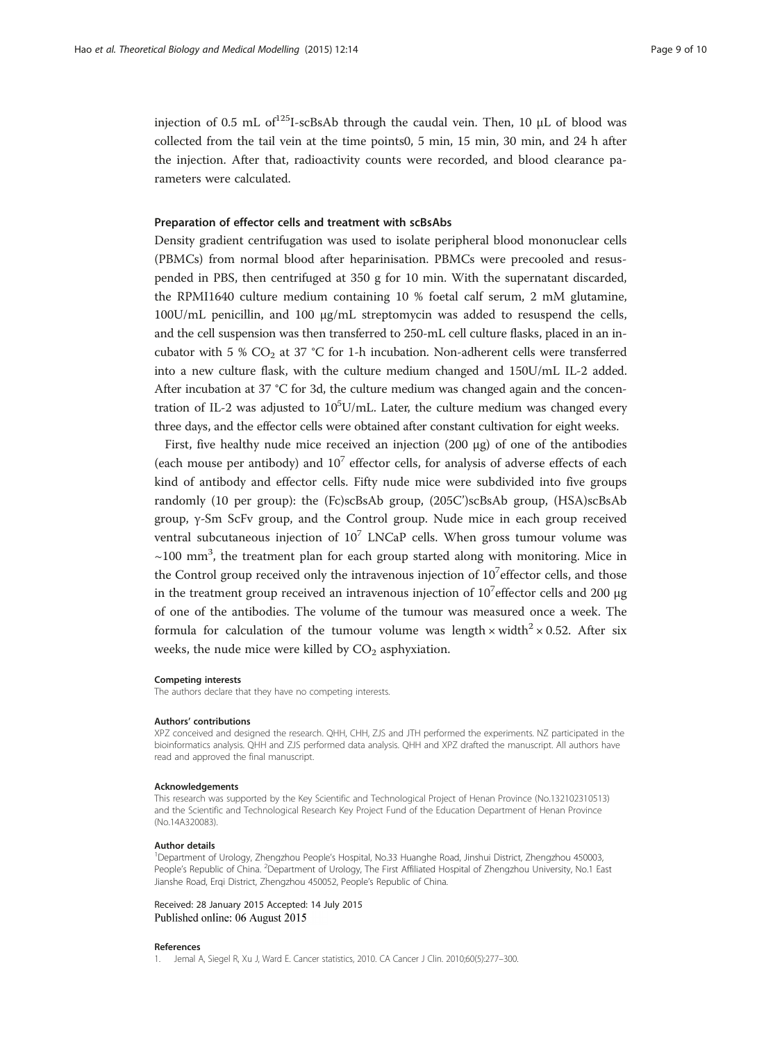<span id="page-8-0"></span>injection of 0.5 mL of<sup>125</sup>I-scBsAb through the caudal vein. Then, 10  $\mu$ L of blood was collected from the tail vein at the time points0, 5 min, 15 min, 30 min, and 24 h after the injection. After that, radioactivity counts were recorded, and blood clearance parameters were calculated.

## Preparation of effector cells and treatment with scBsAbs

Density gradient centrifugation was used to isolate peripheral blood mononuclear cells (PBMCs) from normal blood after heparinisation. PBMCs were precooled and resuspended in PBS, then centrifuged at 350 g for 10 min. With the supernatant discarded, the RPMI1640 culture medium containing 10 % foetal calf serum, 2 mM glutamine, 100U/mL penicillin, and 100 μg/mL streptomycin was added to resuspend the cells, and the cell suspension was then transferred to 250-mL cell culture flasks, placed in an incubator with 5 %  $CO<sub>2</sub>$  at 37 °C for 1-h incubation. Non-adherent cells were transferred into a new culture flask, with the culture medium changed and 150U/mL IL-2 added. After incubation at 37 °C for 3d, the culture medium was changed again and the concentration of IL-2 was adjusted to  $10^5$ U/mL. Later, the culture medium was changed every three days, and the effector cells were obtained after constant cultivation for eight weeks.

First, five healthy nude mice received an injection (200 μg) of one of the antibodies (each mouse per antibody) and  $10<sup>7</sup>$  effector cells, for analysis of adverse effects of each kind of antibody and effector cells. Fifty nude mice were subdivided into five groups randomly (10 per group): the (Fc)scBsAb group, (205C')scBsAb group, (HSA)scBsAb group, γ-Sm ScFv group, and the Control group. Nude mice in each group received ventral subcutaneous injection of  $10^7$  LNCaP cells. When gross tumour volume was  $\sim$ 100 mm<sup>3</sup>, the treatment plan for each group started along with monitoring. Mice in the Control group received only the intravenous injection of  $10<sup>7</sup>$  effector cells, and those in the treatment group received an intravenous injection of  $10^7$ effector cells and 200 µg of one of the antibodies. The volume of the tumour was measured once a week. The formula for calculation of the tumour volume was length  $\times$  width<sup>2</sup>  $\times$  0.52. After six weeks, the nude mice were killed by  $CO<sub>2</sub>$  asphyxiation.

#### Competing interests

The authors declare that they have no competing interests.

#### Authors' contributions

XPZ conceived and designed the research. QHH, CHH, ZJS and JTH performed the experiments. NZ participated in the bioinformatics analysis. QHH and ZJS performed data analysis. QHH and XPZ drafted the manuscript. All authors have read and approved the final manuscript.

#### Acknowledgements

This research was supported by the Key Scientific and Technological Project of Henan Province (No.132102310513) and the Scientific and Technological Research Key Project Fund of the Education Department of Henan Province (No.14A320083).

#### Author details

<sup>1</sup>Department of Urology, Zhengzhou People's Hospital, No.33 Huanghe Road, Jinshui District, Zhengzhou 450003, People's Republic of China. <sup>2</sup>Department of Urology, The First Affiliated Hospital of Zhengzhou University, No.1 East Jianshe Road, Erqi District, Zhengzhou 450052, People's Republic of China.

Received: 28 January 2015 Accepted: 14 July 2015 Published online: 06 August 2015

#### References

1. Jemal A, Siegel R, Xu J, Ward E. Cancer statistics, 2010. CA Cancer J Clin. 2010;60(5):277–300.